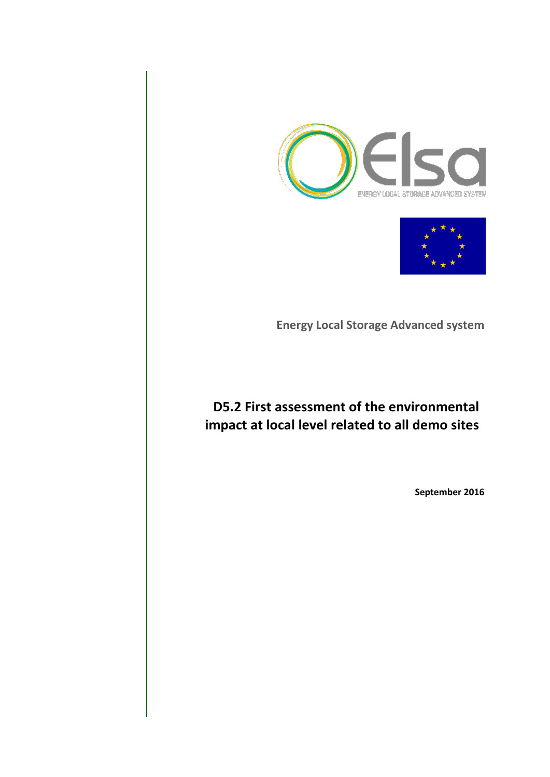



**Energy Local Storage Advanced system**

# **D5.2 First assessment of the environmental impact at local level related to all demo sites**

**September 2016**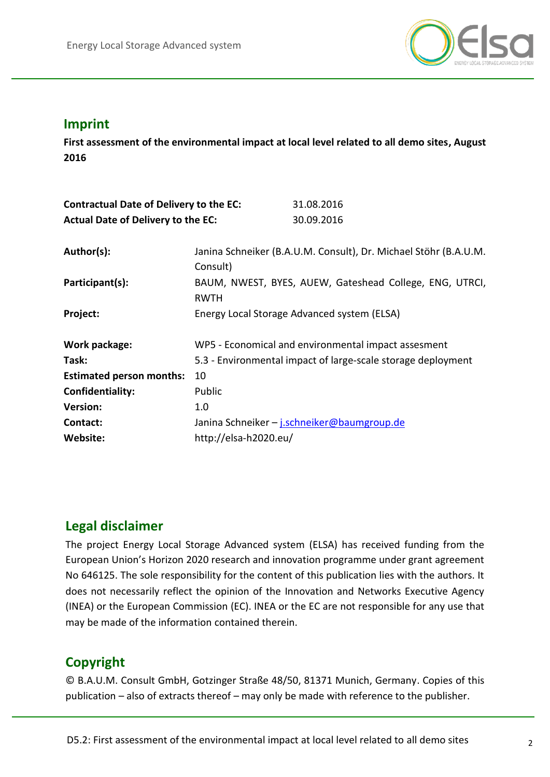

## **Imprint**

a **2016 First assessment of the environmental impact at local level related to all demo sites, August**

| <b>Contractual Date of Delivery to the EC:</b> |                                                                              | 31.08.2016                                          |  |  |
|------------------------------------------------|------------------------------------------------------------------------------|-----------------------------------------------------|--|--|
| <b>Actual Date of Delivery to the EC:</b>      |                                                                              | 30.09.2016                                          |  |  |
| Author(s):                                     | Janina Schneiker (B.A.U.M. Consult), Dr. Michael Stöhr (B.A.U.M.<br>Consult) |                                                     |  |  |
| Participant(s):                                | BAUM, NWEST, BYES, AUEW, Gateshead College, ENG, UTRCI,<br><b>RWTH</b>       |                                                     |  |  |
| Project:                                       | Energy Local Storage Advanced system (ELSA)                                  |                                                     |  |  |
| Work package:                                  |                                                                              | WP5 - Economical and environmental impact assesment |  |  |
| Task:                                          | 5.3 - Environmental impact of large-scale storage deployment                 |                                                     |  |  |
| <b>Estimated person months:</b>                | 10                                                                           |                                                     |  |  |
| Confidentiality:                               | Public                                                                       |                                                     |  |  |
| <b>Version:</b>                                | 1.0                                                                          |                                                     |  |  |
| Contact:                                       |                                                                              | Janina Schneiker - j.schneiker@baumgroup.de         |  |  |
| <b>Website:</b>                                | http://elsa-h2020.eu/                                                        |                                                     |  |  |
|                                                |                                                                              |                                                     |  |  |

## **Legal disclaimer**

The project Energy Local Storage Advanced system (ELSA) has received funding from the European Union's Horizon 2020 research and innovation programme under grant agreement No 646125. The sole responsibility for the content of this publication lies with the authors. It does not necessarily reflect the opinion of the Innovation and Networks Executive Agency (INEA) or the European Commission (EC). INEA or the EC are not responsible for any use that may be made of the information contained therein.

## **Copyright**

© B.A.U.M. Consult GmbH, Gotzinger Straße 48/50, 81371 Munich, Germany. Copies of this publication – also of extracts thereof – may only be made with reference to the publisher.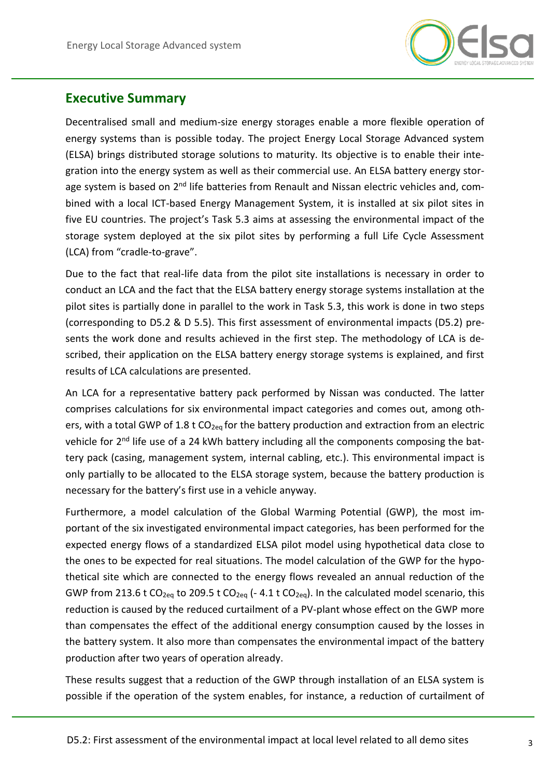

## **Executive Summary**

Decentralised small and medium-size energy storages enable a more flexible operation of energy systems than is possible today. The project Energy Local Storage Advanced system (ELSA) brings distributed storage solutions to maturity. Its objective is to enable their integration into the energy system as well as their commercial use. An ELSA battery energy storage system is based on 2<sup>nd</sup> life batteries from Renault and Nissan electric vehicles and, combined with a local ICT-based Energy Management System, it is installed at six pilot sites in five EU countries. The project's Task 5.3 aims at assessing the environmental impact of the storage system deployed at the six pilot sites by performing a full Life Cycle Assessment (LCA) from "cradle-to-grave".

Due to the fact that real-life data from the pilot site installations is necessary in order to conduct an LCA and the fact that the ELSA battery energy storage systems installation at the pilot sites is partially done in parallel to the work in Task 5.3, this work is done in two steps (corresponding to D5.2 & D 5.5). This first assessment of environmental impacts (D5.2) presents the work done and results achieved in the first step. The methodology of LCA is described, their application on the ELSA battery energy storage systems is explained, and first results of LCA calculations are presented.

An LCA for a representative battery pack performed by Nissan was conducted. The latter comprises calculations for six environmental impact categories and comes out, among others, with a total GWP of 1.8 t  $CO_{2eq}$  for the battery production and extraction from an electric vehicle for 2<sup>nd</sup> life use of a 24 kWh battery including all the components composing the battery pack (casing, management system, internal cabling, etc.). This environmental impact is only partially to be allocated to the ELSA storage system, because the battery production is necessary for the battery's first use in a vehicle anyway.

Furthermore, a model calculation of the Global Warming Potential (GWP), the most important of the six investigated environmental impact categories, has been performed for the expected energy flows of a standardized ELSA pilot model using hypothetical data close to the ones to be expected for real situations. The model calculation of the GWP for the hypothetical site which are connected to the energy flows revealed an annual reduction of the GWP from 213.6 t CO<sub>2eq</sub> to 209.5 t CO<sub>2eq</sub> (- 4.1 t CO<sub>2eq</sub>). In the calculated model scenario, this reduction is caused by the reduced curtailment of a PV-plant whose effect on the GWP more than compensates the effect of the additional energy consumption caused by the losses in the battery system. It also more than compensates the environmental impact of the battery production after two years of operation already.

These results suggest that a reduction of the GWP through installation of an ELSA system is possible if the operation of the system enables, for instance, a reduction of curtailment of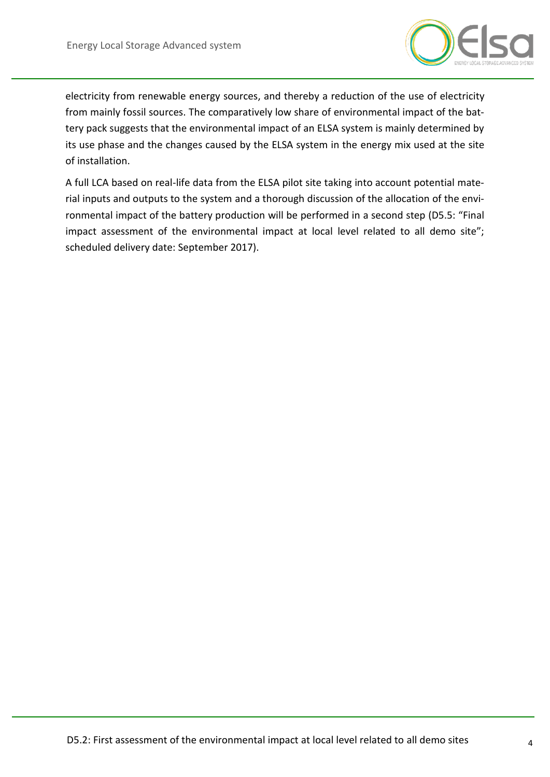

electricity from renewable energy sources, and thereby a reduction of the use of electricity from mainly fossil sources. The comparatively low share of environmental impact of the battery pack suggests that the environmental impact of an ELSA system is mainly determined by its use phase and the changes caused by the ELSA system in the energy mix used at the site of installation.

A full LCA based on real-life data from the ELSA pilot site taking into account potential material inputs and outputs to the system and a thorough discussion of the allocation of the environmental impact of the battery production will be performed in a second step (D5.5: "Final impact assessment of the environmental impact at local level related to all demo site"; scheduled delivery date: September 2017).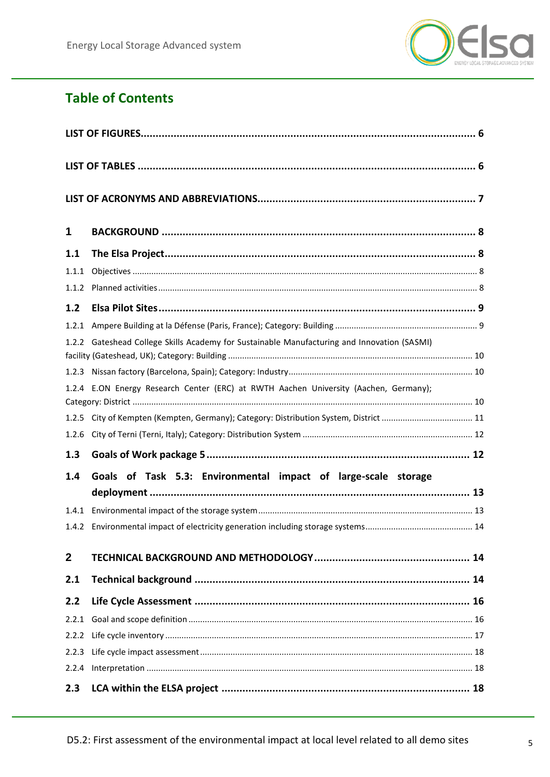

# **Table of Contents**

| 1           |                                                                                       |  |  |  |  |  |
|-------------|---------------------------------------------------------------------------------------|--|--|--|--|--|
| 1.1         |                                                                                       |  |  |  |  |  |
| 1.1.1       |                                                                                       |  |  |  |  |  |
| 1.1.2       |                                                                                       |  |  |  |  |  |
| 1.2         |                                                                                       |  |  |  |  |  |
| 1.2.1       |                                                                                       |  |  |  |  |  |
| 1.2.2       | Gateshead College Skills Academy for Sustainable Manufacturing and Innovation (SASMI) |  |  |  |  |  |
|             |                                                                                       |  |  |  |  |  |
| 1.2.4       | E.ON Energy Research Center (ERC) at RWTH Aachen University (Aachen, Germany);        |  |  |  |  |  |
|             | 1.2.5 City of Kempten (Kempten, Germany); Category: Distribution System, District  11 |  |  |  |  |  |
| 1.2.6       |                                                                                       |  |  |  |  |  |
| 1.3         |                                                                                       |  |  |  |  |  |
| 1.4         | Goals of Task 5.3: Environmental impact of large-scale storage                        |  |  |  |  |  |
|             |                                                                                       |  |  |  |  |  |
| 1.4.1       |                                                                                       |  |  |  |  |  |
|             |                                                                                       |  |  |  |  |  |
| $\mathbf 2$ |                                                                                       |  |  |  |  |  |
| 2.1         |                                                                                       |  |  |  |  |  |
| 2.2         |                                                                                       |  |  |  |  |  |
| 2.2.1       |                                                                                       |  |  |  |  |  |
| 2.2.2       |                                                                                       |  |  |  |  |  |
| 2.2.3       |                                                                                       |  |  |  |  |  |
| 2.2.4       |                                                                                       |  |  |  |  |  |
| 2.3         |                                                                                       |  |  |  |  |  |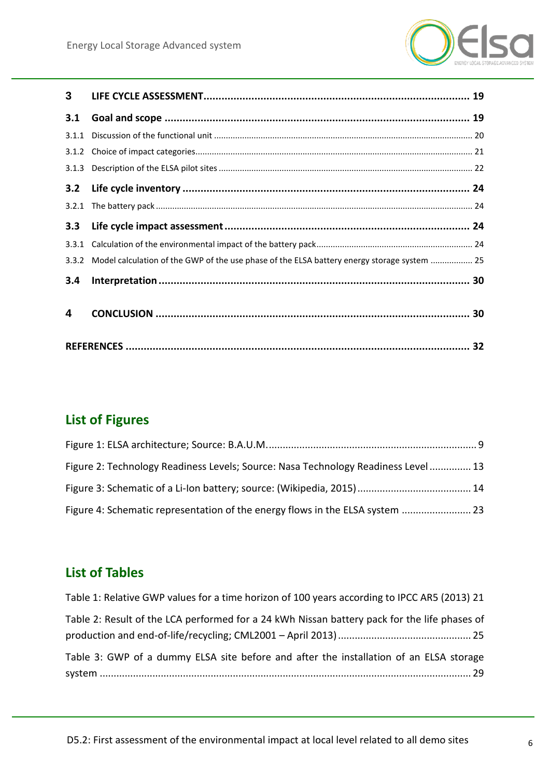

| 3     |                                                                                             |  |
|-------|---------------------------------------------------------------------------------------------|--|
| 3.1   |                                                                                             |  |
| 3.1.1 |                                                                                             |  |
| 3.1.2 |                                                                                             |  |
|       |                                                                                             |  |
| 3.2   |                                                                                             |  |
| 3.2.1 |                                                                                             |  |
| 3.3   |                                                                                             |  |
| 3.3.1 |                                                                                             |  |
| 3.3.2 | Model calculation of the GWP of the use phase of the ELSA battery energy storage system  25 |  |
| 3.4   |                                                                                             |  |
| 4     |                                                                                             |  |
|       |                                                                                             |  |

# <span id="page-5-0"></span>**List of Figures**

| Figure 2: Technology Readiness Levels; Source: Nasa Technology Readiness Level  13 |  |
|------------------------------------------------------------------------------------|--|
|                                                                                    |  |
| Figure 4: Schematic representation of the energy flows in the ELSA system  23      |  |

## <span id="page-5-1"></span>**List of Tables**

| Table 1: Relative GWP values for a time horizon of 100 years according to IPCC AR5 (2013) 21 |
|----------------------------------------------------------------------------------------------|
| Table 2: Result of the LCA performed for a 24 kWh Nissan battery pack for the life phases of |
|                                                                                              |
| Table 3: GWP of a dummy ELSA site before and after the installation of an ELSA storage       |
|                                                                                              |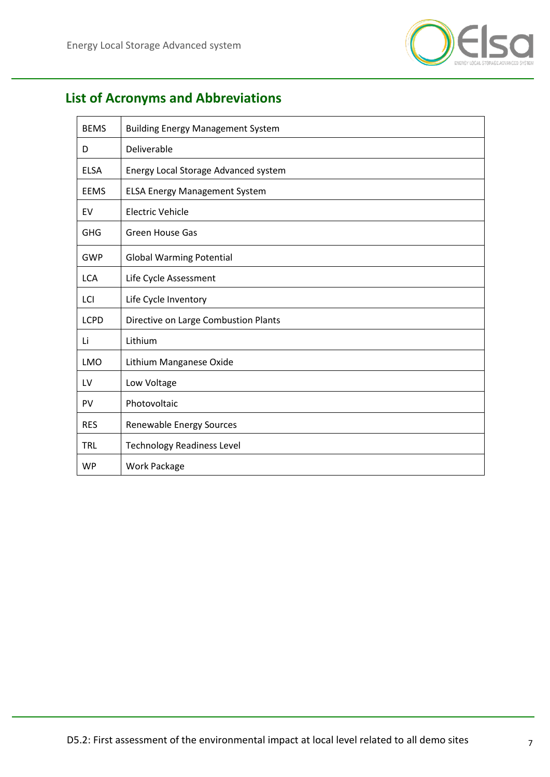

# <span id="page-6-0"></span>**List of Acronyms and Abbreviations**

| <b>BEMS</b> | <b>Building Energy Management System</b> |  |  |
|-------------|------------------------------------------|--|--|
| D           | Deliverable                              |  |  |
| <b>ELSA</b> | Energy Local Storage Advanced system     |  |  |
| <b>EEMS</b> | <b>ELSA Energy Management System</b>     |  |  |
| EV          | <b>Electric Vehicle</b>                  |  |  |
| <b>GHG</b>  | Green House Gas                          |  |  |
| <b>GWP</b>  | <b>Global Warming Potential</b>          |  |  |
| <b>LCA</b>  | Life Cycle Assessment                    |  |  |
| LCI         | Life Cycle Inventory                     |  |  |
| <b>LCPD</b> | Directive on Large Combustion Plants     |  |  |
| Li          | Lithium                                  |  |  |
| <b>LMO</b>  | Lithium Manganese Oxide                  |  |  |
| LV          | Low Voltage                              |  |  |
| <b>PV</b>   | Photovoltaic                             |  |  |
| <b>RES</b>  | Renewable Energy Sources                 |  |  |
| <b>TRL</b>  | <b>Technology Readiness Level</b>        |  |  |
| <b>WP</b>   | <b>Work Package</b>                      |  |  |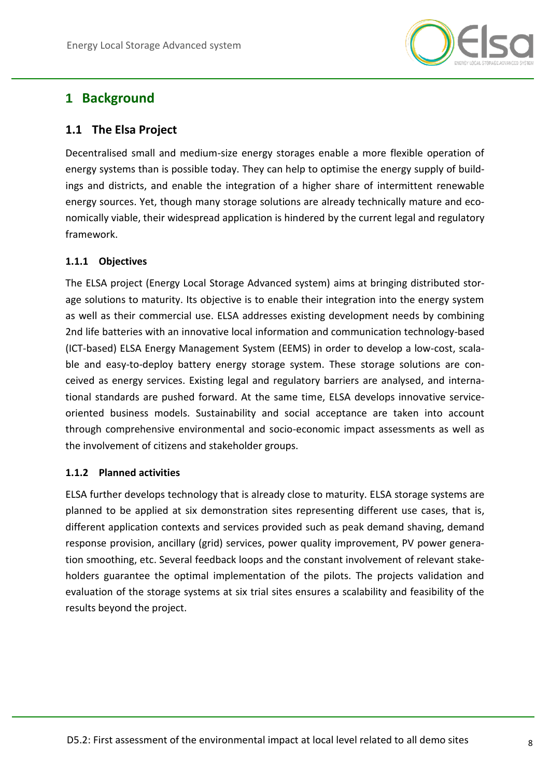

## <span id="page-7-0"></span>**1 Background**

## <span id="page-7-1"></span>**1.1 The Elsa Project**

Decentralised small and medium-size energy storages enable a more flexible operation of energy systems than is possible today. They can help to optimise the energy supply of buildings and districts, and enable the integration of a higher share of intermittent renewable energy sources. Yet, though many storage solutions are already technically mature and economically viable, their widespread application is hindered by the current legal and regulatory framework.

#### <span id="page-7-2"></span>**1.1.1 Objectives**

The ELSA project (Energy Local Storage Advanced system) aims at bringing distributed storage solutions to maturity. Its objective is to enable their integration into the energy system as well as their commercial use. ELSA addresses existing development needs by combining 2nd life batteries with an innovative local information and communication technology-based (ICT-based) ELSA Energy Management System (EEMS) in order to develop a low-cost, scalable and easy-to-deploy battery energy storage system. These storage solutions are conceived as energy services. Existing legal and regulatory barriers are analysed, and international standards are pushed forward. At the same time, ELSA develops innovative serviceoriented business models. Sustainability and social acceptance are taken into account through comprehensive environmental and socio-economic impact assessments as well as the involvement of citizens and stakeholder groups.

#### <span id="page-7-3"></span>**1.1.2 Planned activities**

ELSA further develops technology that is already close to maturity. ELSA storage systems are planned to be applied at six demonstration sites representing different use cases, that is, different application contexts and services provided such as peak demand shaving, demand response provision, ancillary (grid) services, power quality improvement, PV power generation smoothing, etc. Several feedback loops and the constant involvement of relevant stakeholders guarantee the optimal implementation of the pilots. The projects validation and evaluation of the storage systems at six trial sites ensures a scalability and feasibility of the results beyond the project.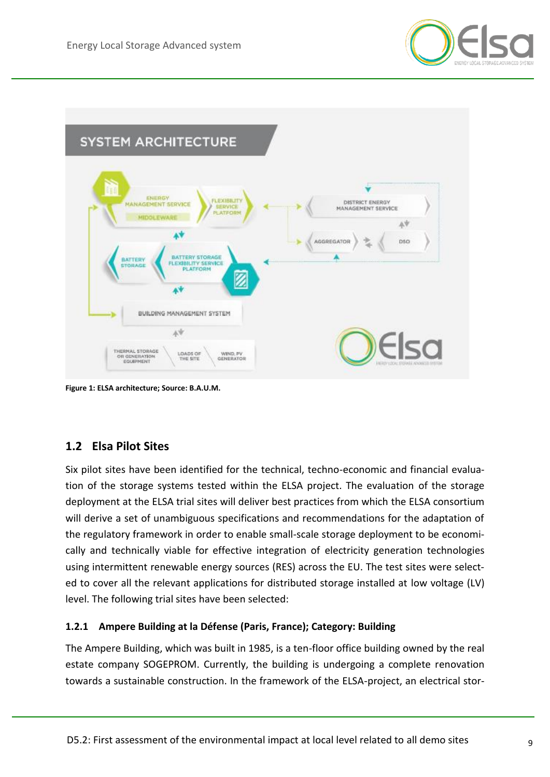



**Figure 1: ELSA architecture; Source: B.A.U.M.**

## <span id="page-8-0"></span>**1.2 Elsa Pilot Sites**

Six pilot sites have been identified for the technical, techno-economic and financial evaluation of the storage systems tested within the ELSA project. The evaluation of the storage deployment at the ELSA trial sites will deliver best practices from which the ELSA consortium will derive a set of unambiguous specifications and recommendations for the adaptation of the regulatory framework in order to enable small-scale storage deployment to be economically and technically viable for effective integration of electricity generation technologies using intermittent renewable energy sources (RES) across the EU. The test sites were selected to cover all the relevant applications for distributed storage installed at low voltage (LV) level. The following trial sites have been selected:

#### <span id="page-8-1"></span>**1.2.1 Ampere Building at la Défense (Paris, France); Category: Building**

The Ampere Building, which was built in 1985, is a ten-floor office building owned by the real estate company SOGEPROM. Currently, the building is undergoing a complete renovation towards a sustainable construction. In the framework of the ELSA-project, an electrical stor-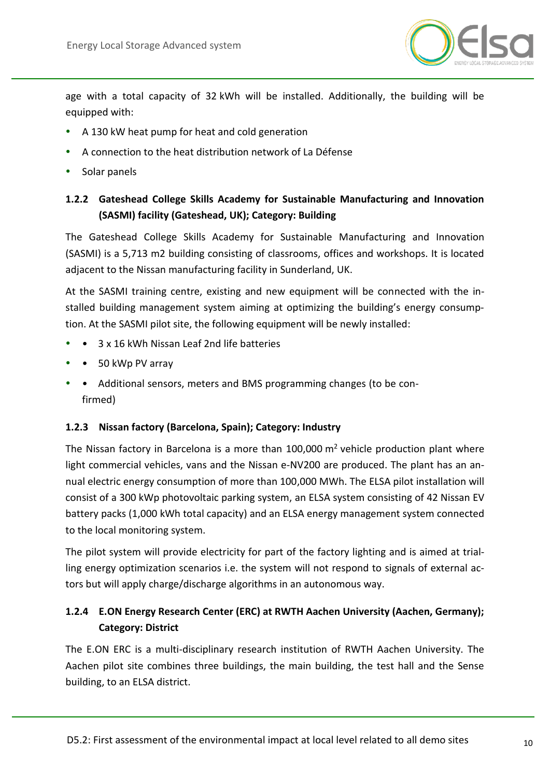

age with a total capacity of 32 kWh will be installed. Additionally, the building will be equipped with:

- A 130 kW heat pump for heat and cold generation
- A connection to the heat distribution network of La Défense
- Solar panels

### <span id="page-9-0"></span>**1.2.2 Gateshead College Skills Academy for Sustainable Manufacturing and Innovation (SASMI) facility (Gateshead, UK); Category: Building**

The Gateshead College Skills Academy for Sustainable Manufacturing and Innovation (SASMI) is a 5,713 m2 building consisting of classrooms, offices and workshops. It is located adjacent to the Nissan manufacturing facility in Sunderland, UK.

At the SASMI training centre, existing and new equipment will be connected with the installed building management system aiming at optimizing the building's energy consumption. At the SASMI pilot site, the following equipment will be newly installed:

- 3 x 16 kWh Nissan Leaf 2nd life batteries
- 50 kWp PV array
- Additional sensors, meters and BMS programming changes (to be confirmed)

#### <span id="page-9-1"></span>**1.2.3 Nissan factory (Barcelona, Spain); Category: Industry**

The Nissan factory in Barcelona is a more than  $100,000$  m<sup>2</sup> vehicle production plant where light commercial vehicles, vans and the Nissan e-NV200 are produced. The plant has an annual electric energy consumption of more than 100,000 MWh. The ELSA pilot installation will consist of a 300 kWp photovoltaic parking system, an ELSA system consisting of 42 Nissan EV battery packs (1,000 kWh total capacity) and an ELSA energy management system connected to the local monitoring system.

The pilot system will provide electricity for part of the factory lighting and is aimed at trialling energy optimization scenarios i.e. the system will not respond to signals of external actors but will apply charge/discharge algorithms in an autonomous way.

## <span id="page-9-2"></span>**1.2.4 E.ON Energy Research Center (ERC) at RWTH Aachen University (Aachen, Germany); Category: District**

The E.ON ERC is a multi-disciplinary research institution of RWTH Aachen University. The Aachen pilot site combines three buildings, the main building, the test hall and the Sense building, to an ELSA district.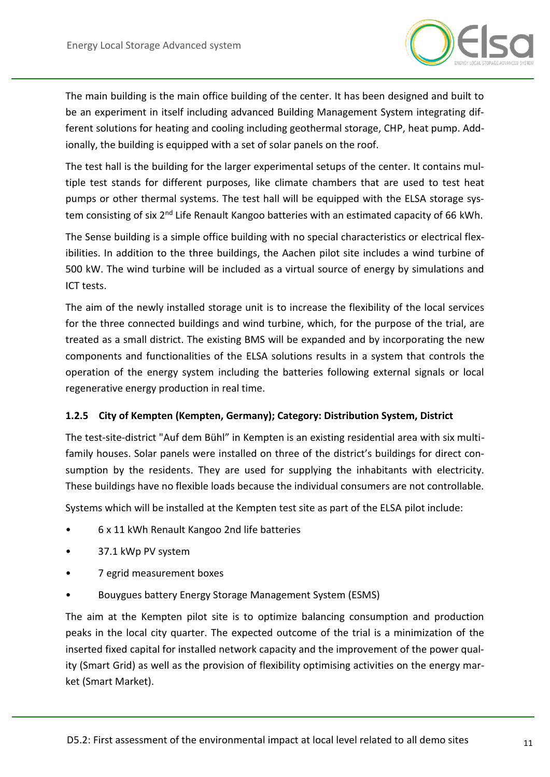

The main building is the main office building of the center. It has been designed and built to be an experiment in itself including advanced Building Management System integrating different solutions for heating and cooling including geothermal storage, CHP, heat pump. Addionally, the building is equipped with a set of solar panels on the roof.

The test hall is the building for the larger experimental setups of the center. It contains multiple test stands for different purposes, like climate chambers that are used to test heat pumps or other thermal systems. The test hall will be equipped with the ELSA storage system consisting of six 2<sup>nd</sup> Life Renault Kangoo batteries with an estimated capacity of 66 kWh.

The Sense building is a simple office building with no special characteristics or electrical flexibilities. In addition to the three buildings, the Aachen pilot site includes a wind turbine of 500 kW. The wind turbine will be included as a virtual source of energy by simulations and ICT tests.

The aim of the newly installed storage unit is to increase the flexibility of the local services for the three connected buildings and wind turbine, which, for the purpose of the trial, are treated as a small district. The existing BMS will be expanded and by incorporating the new components and functionalities of the ELSA solutions results in a system that controls the operation of the energy system including the batteries following external signals or local regenerative energy production in real time.

#### <span id="page-10-0"></span>**1.2.5 City of Kempten (Kempten, Germany); Category: Distribution System, District**

The test-site-district "Auf dem Bühl" in Kempten is an existing residential area with six multifamily houses. Solar panels were installed on three of the district's buildings for direct consumption by the residents. They are used for supplying the inhabitants with electricity. These buildings have no flexible loads because the individual consumers are not controllable.

Systems which will be installed at the Kempten test site as part of the ELSA pilot include:

- 6 x 11 kWh Renault Kangoo 2nd life batteries
- 37.1 kWp PV system
- 7 egrid measurement boxes
- Bouygues battery Energy Storage Management System (ESMS)

The aim at the Kempten pilot site is to optimize balancing consumption and production peaks in the local city quarter. The expected outcome of the trial is a minimization of the inserted fixed capital for installed network capacity and the improvement of the power quality (Smart Grid) as well as the provision of flexibility optimising activities on the energy market (Smart Market).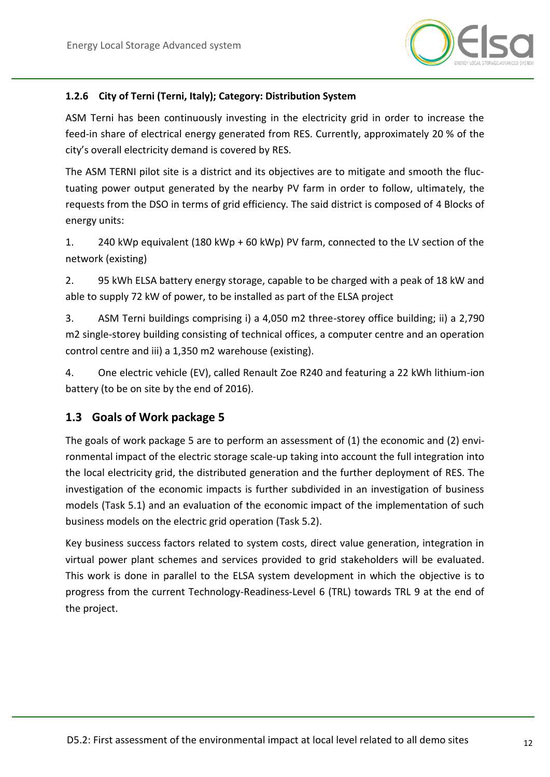

#### <span id="page-11-0"></span>**1.2.6 City of Terni (Terni, Italy); Category: Distribution System**

ASM Terni has been continuously investing in the electricity grid in order to increase the feed-in share of electrical energy generated from RES. Currently, approximately 20 % of the city's overall electricity demand is covered by RES.

The ASM TERNI pilot site is a district and its objectives are to mitigate and smooth the fluctuating power output generated by the nearby PV farm in order to follow, ultimately, the requests from the DSO in terms of grid efficiency. The said district is composed of 4 Blocks of energy units:

1. 240 kWp equivalent (180 kWp + 60 kWp) PV farm, connected to the LV section of the network (existing)

2. 95 kWh ELSA battery energy storage, capable to be charged with a peak of 18 kW and able to supply 72 kW of power, to be installed as part of the ELSA project

3. ASM Terni buildings comprising i) a 4,050 m2 three-storey office building; ii) a 2,790 m2 single-storey building consisting of technical offices, a computer centre and an operation control centre and iii) a 1,350 m2 warehouse (existing).

4. One electric vehicle (EV), called Renault Zoe R240 and featuring a 22 kWh lithium-ion battery (to be on site by the end of 2016).

### <span id="page-11-1"></span>**1.3 Goals of Work package 5**

The goals of work package 5 are to perform an assessment of (1) the economic and (2) environmental impact of the electric storage scale-up taking into account the full integration into the local electricity grid, the distributed generation and the further deployment of RES. The investigation of the economic impacts is further subdivided in an investigation of business models (Task 5.1) and an evaluation of the economic impact of the implementation of such business models on the electric grid operation (Task 5.2).

Key business success factors related to system costs, direct value generation, integration in virtual power plant schemes and services provided to grid stakeholders will be evaluated. This work is done in parallel to the ELSA system development in which the objective is to progress from the current Technology-Readiness-Level 6 (TRL) towards TRL 9 at the end of the project.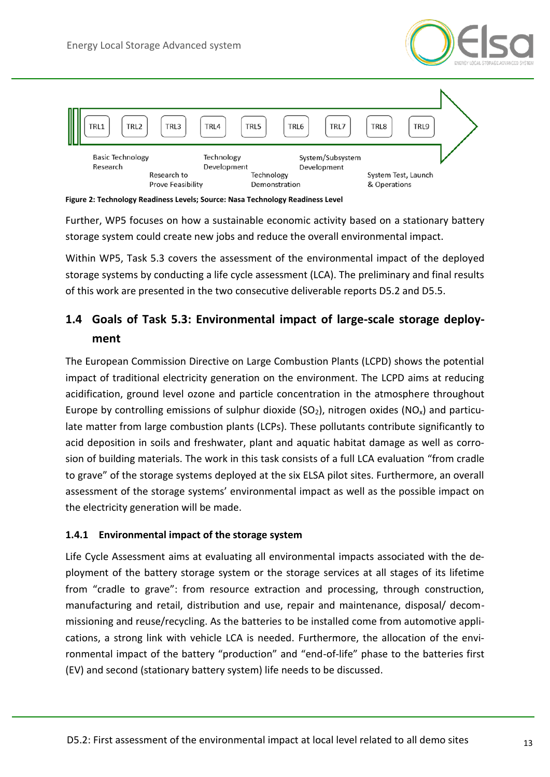



<span id="page-12-2"></span>**Figure 2: Technology Readiness Levels; Source: Nasa Technology Readiness Level**

Further, WP5 focuses on how a sustainable economic activity based on a stationary battery storage system could create new jobs and reduce the overall environmental impact.

Within WP5, Task 5.3 covers the assessment of the environmental impact of the deployed storage systems by conducting a life cycle assessment (LCA). The preliminary and final results of this work are presented in the two consecutive deliverable reports D5.2 and D5.5.

## <span id="page-12-0"></span>**1.4 Goals of Task 5.3: Environmental impact of large-scale storage deployment**

The European Commission Directive on Large Combustion Plants (LCPD) shows the potential impact of traditional electricity generation on the environment. The LCPD aims at reducing acidification, ground level ozone and particle concentration in the atmosphere throughout Europe by controlling emissions of sulphur dioxide ( $SO<sub>2</sub>$ ), nitrogen oxides ( $NO<sub>x</sub>$ ) and particulate matter from large combustion plants (LCPs). These pollutants contribute significantly to acid deposition in soils and freshwater, plant and aquatic habitat damage as well as corrosion of building materials. The work in this task consists of a full LCA evaluation "from cradle to grave" of the storage systems deployed at the six ELSA pilot sites. Furthermore, an overall assessment of the storage systems' environmental impact as well as the possible impact on the electricity generation will be made.

#### <span id="page-12-1"></span>**1.4.1 Environmental impact of the storage system**

Life Cycle Assessment aims at evaluating all environmental impacts associated with the deployment of the battery storage system or the storage services at all stages of its lifetime from "cradle to grave": from resource extraction and processing, through construction, manufacturing and retail, distribution and use, repair and maintenance, disposal/ decommissioning and reuse/recycling. As the batteries to be installed come from automotive applications, a strong link with vehicle LCA is needed. Furthermore, the allocation of the environmental impact of the battery "production" and "end-of-life" phase to the batteries first (EV) and second (stationary battery system) life needs to be discussed.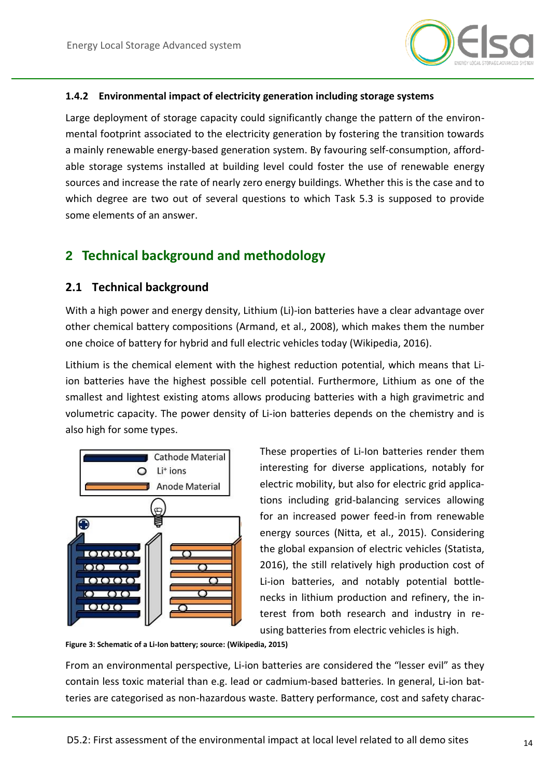

#### <span id="page-13-0"></span>**1.4.2 Environmental impact of electricity generation including storage systems**

Large deployment of storage capacity could significantly change the pattern of the environmental footprint associated to the electricity generation by fostering the transition towards a mainly renewable energy-based generation system. By favouring self-consumption, affordable storage systems installed at building level could foster the use of renewable energy sources and increase the rate of nearly zero energy buildings. Whether this is the case and to which degree are two out of several questions to which Task 5.3 is supposed to provide some elements of an answer.

## <span id="page-13-1"></span>**2 Technical background and methodology**

#### <span id="page-13-2"></span>**2.1 Technical background**

With a high power and energy density, Lithium (Li)-ion batteries have a clear advantage over other chemical battery compositions (Armand, et al., 2008), which makes them the number one choice of battery for hybrid and full electric vehicles today (Wikipedia, 2016).

Lithium is the chemical element with the highest reduction potential, which means that Liion batteries have the highest possible cell potential. Furthermore, Lithium as one of the smallest and lightest existing atoms allows producing batteries with a high gravimetric and volumetric capacity. The power density of Li-ion batteries depends on the chemistry and is also high for some types.



These properties of Li-Ion batteries render them interesting for diverse applications, notably for electric mobility, but also for electric grid applications including grid-balancing services allowing for an increased power feed-in from renewable energy sources (Nitta, et al., 2015). Considering the global expansion of electric vehicles (Statista, 2016), the still relatively high production cost of Li-ion batteries, and notably potential bottlenecks in lithium production and refinery, the interest from both research and industry in reusing batteries from electric vehicles is high.

<span id="page-13-3"></span>**Figure 3: Schematic of a Li-Ion battery; source: (Wikipedia, 2015)**

From an environmental perspective, Li-ion batteries are considered the "lesser evil" as they contain less toxic material than e.g. lead or cadmium-based batteries. In general, Li-ion batteries are categorised as non-hazardous waste. Battery performance, cost and safety charac-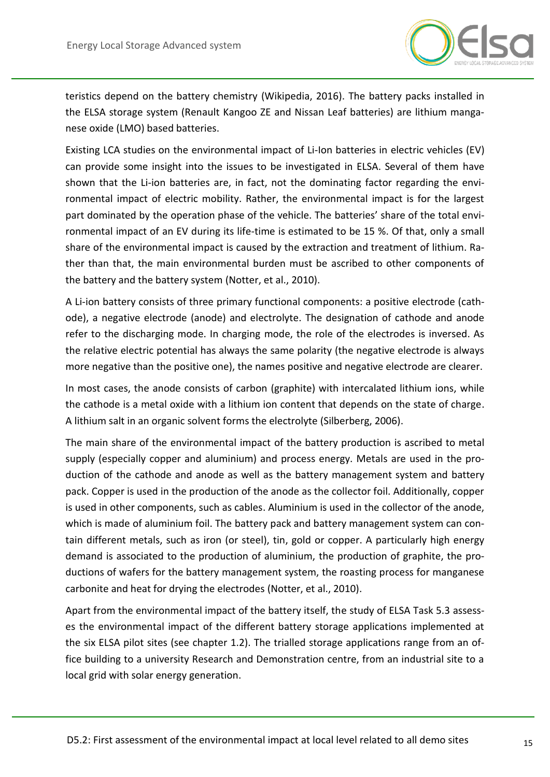

teristics depend on the battery chemistry (Wikipedia, 2016). The battery packs installed in the ELSA storage system (Renault Kangoo ZE and Nissan Leaf batteries) are lithium manganese oxide (LMO) based batteries.

Existing LCA studies on the environmental impact of Li-Ion batteries in electric vehicles (EV) can provide some insight into the issues to be investigated in ELSA. Several of them have shown that the Li-ion batteries are, in fact, not the dominating factor regarding the environmental impact of electric mobility. Rather, the environmental impact is for the largest part dominated by the operation phase of the vehicle. The batteries' share of the total environmental impact of an EV during its life-time is estimated to be 15 %. Of that, only a small share of the environmental impact is caused by the extraction and treatment of lithium. Rather than that, the main environmental burden must be ascribed to other components of the battery and the battery system (Notter, et al., 2010).

A Li-ion battery consists of three primary functional components: a positive electrode (cathode), a negative electrode (anode) and electrolyte. The designation of cathode and anode refer to the discharging mode. In charging mode, the role of the electrodes is inversed. As the relative electric potential has always the same polarity (the negative electrode is always more negative than the positive one), the names positive and negative electrode are clearer.

In most cases, the anode consists of carbon (graphite) with intercalated lithium ions, while the cathode is a metal oxide with a lithium ion content that depends on the state of charge. A lithium salt in an organic solvent forms the electrolyte (Silberberg, 2006).

The main share of the environmental impact of the battery production is ascribed to metal supply (especially copper and aluminium) and process energy. Metals are used in the production of the cathode and anode as well as the battery management system and battery pack. Copper is used in the production of the anode as the collector foil. Additionally, copper is used in other components, such as cables. Aluminium is used in the collector of the anode, which is made of aluminium foil. The battery pack and battery management system can contain different metals, such as iron (or steel), tin, gold or copper. A particularly high energy demand is associated to the production of aluminium, the production of graphite, the productions of wafers for the battery management system, the roasting process for manganese carbonite and heat for drying the electrodes (Notter, et al., 2010).

Apart from the environmental impact of the battery itself, the study of ELSA Task 5.3 assesses the environmental impact of the different battery storage applications implemented at the six ELSA pilot sites (see chapter [1.2\)](#page-8-0). The trialled storage applications range from an office building to a university Research and Demonstration centre, from an industrial site to a local grid with solar energy generation.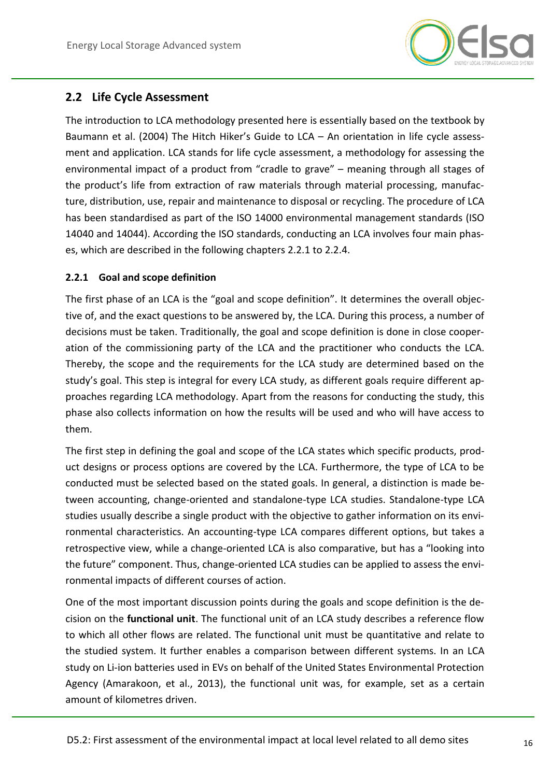

## <span id="page-15-0"></span>**2.2 Life Cycle Assessment**

The introduction to LCA methodology presented here is essentially based on the textbook by Baumann et al. (2004) The Hitch Hiker's Guide to LCA – An orientation in life cycle assessment and application. LCA stands for life cycle assessment, a methodology for assessing the environmental impact of a product from "cradle to grave" – meaning through all stages of the product's life from extraction of raw materials through material processing, manufacture, distribution, use, repair and maintenance to disposal or recycling. The procedure of LCA has been standardised as part of the ISO 14000 environmental management standards (ISO 14040 and 14044). According the ISO standards, conducting an LCA involves four main phases, which are described in the following chapters [2.2.1](#page-15-1) to [2.2.4.](#page-17-1)

### <span id="page-15-1"></span>**2.2.1 Goal and scope definition**

The first phase of an LCA is the "goal and scope definition". It determines the overall objective of, and the exact questions to be answered by, the LCA. During this process, a number of decisions must be taken. Traditionally, the goal and scope definition is done in close cooperation of the commissioning party of the LCA and the practitioner who conducts the LCA. Thereby, the scope and the requirements for the LCA study are determined based on the study's goal. This step is integral for every LCA study, as different goals require different approaches regarding LCA methodology. Apart from the reasons for conducting the study, this phase also collects information on how the results will be used and who will have access to them.

The first step in defining the goal and scope of the LCA states which specific products, product designs or process options are covered by the LCA. Furthermore, the type of LCA to be conducted must be selected based on the stated goals. In general, a distinction is made between accounting, change-oriented and standalone-type LCA studies. Standalone-type LCA studies usually describe a single product with the objective to gather information on its environmental characteristics. An accounting-type LCA compares different options, but takes a retrospective view, while a change-oriented LCA is also comparative, but has a "looking into the future" component. Thus, change-oriented LCA studies can be applied to assess the environmental impacts of different courses of action.

One of the most important discussion points during the goals and scope definition is the decision on the **functional unit**. The functional unit of an LCA study describes a reference flow to which all other flows are related. The functional unit must be quantitative and relate to the studied system. It further enables a comparison between different systems. In an LCA study on Li-ion batteries used in EVs on behalf of the United States Environmental Protection Agency (Amarakoon, et al., 2013), the functional unit was, for example, set as a certain amount of kilometres driven.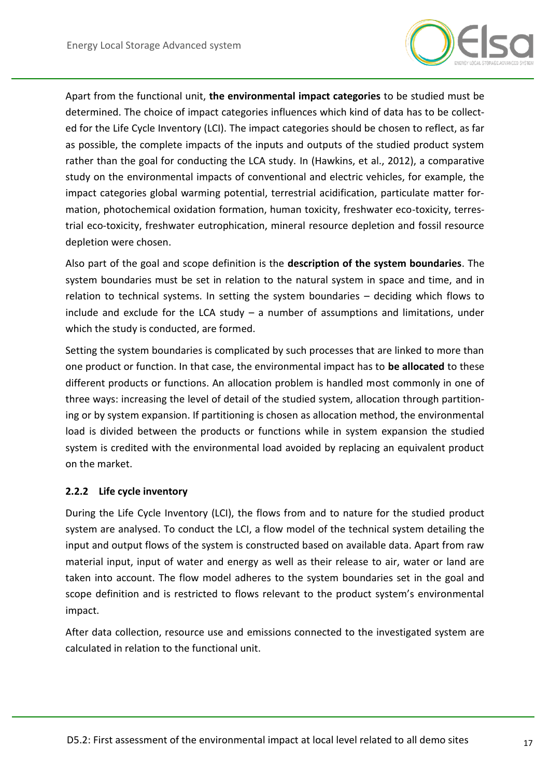

Apart from the functional unit, **the environmental impact categories** to be studied must be determined. The choice of impact categories influences which kind of data has to be collected for the Life Cycle Inventory (LCI). The impact categories should be chosen to reflect, as far as possible, the complete impacts of the inputs and outputs of the studied product system rather than the goal for conducting the LCA study. In (Hawkins, et al., 2012), a comparative study on the environmental impacts of conventional and electric vehicles, for example, the impact categories global warming potential, terrestrial acidification, particulate matter formation, photochemical oxidation formation, human toxicity, freshwater eco-toxicity, terrestrial eco-toxicity, freshwater eutrophication, mineral resource depletion and fossil resource depletion were chosen.

Also part of the goal and scope definition is the **description of the system boundaries**. The system boundaries must be set in relation to the natural system in space and time, and in relation to technical systems. In setting the system boundaries – deciding which flows to include and exclude for the LCA study  $-$  a number of assumptions and limitations, under which the study is conducted, are formed.

Setting the system boundaries is complicated by such processes that are linked to more than one product or function. In that case, the environmental impact has to **be allocated** to these different products or functions. An allocation problem is handled most commonly in one of three ways: increasing the level of detail of the studied system, allocation through partitioning or by system expansion. If partitioning is chosen as allocation method, the environmental load is divided between the products or functions while in system expansion the studied system is credited with the environmental load avoided by replacing an equivalent product on the market.

#### <span id="page-16-0"></span>**2.2.2 Life cycle inventory**

During the Life Cycle Inventory (LCI), the flows from and to nature for the studied product system are analysed. To conduct the LCI, a flow model of the technical system detailing the input and output flows of the system is constructed based on available data. Apart from raw material input, input of water and energy as well as their release to air, water or land are taken into account. The flow model adheres to the system boundaries set in the goal and scope definition and is restricted to flows relevant to the product system's environmental impact.

After data collection, resource use and emissions connected to the investigated system are calculated in relation to the functional unit.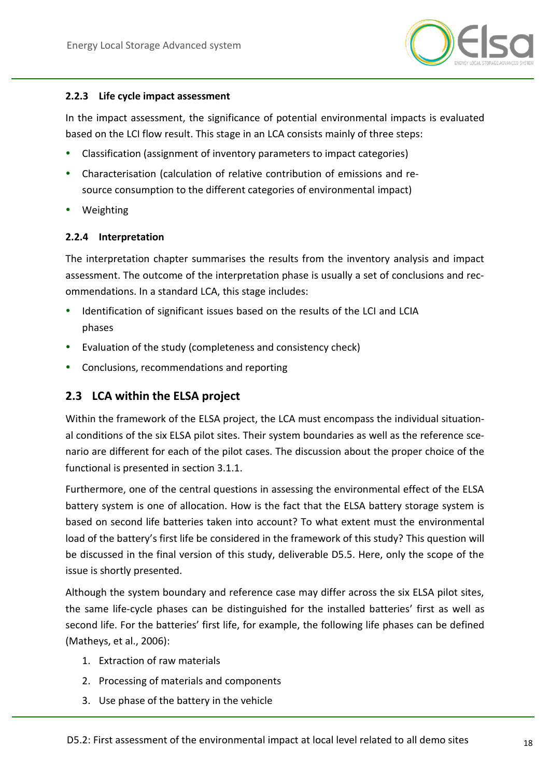

#### <span id="page-17-0"></span>**2.2.3 Life cycle impact assessment**

In the impact assessment, the significance of potential environmental impacts is evaluated based on the LCI flow result. This stage in an LCA consists mainly of three steps:

- Classification (assignment of inventory parameters to impact categories)
- Characterisation (calculation of relative contribution of emissions and resource consumption to the different categories of environmental impact)
- Weighting

#### <span id="page-17-1"></span>**2.2.4 Interpretation**

The interpretation chapter summarises the results from the inventory analysis and impact assessment. The outcome of the interpretation phase is usually a set of conclusions and recommendations. In a standard LCA, this stage includes:

- Identification of significant issues based on the results of the LCI and LCIA phases
- Evaluation of the study (completeness and consistency check)
- Conclusions, recommendations and reporting

### <span id="page-17-2"></span>**2.3 LCA within the ELSA project**

Within the framework of the ELSA project, the LCA must encompass the individual situational conditions of the six ELSA pilot sites. Their system boundaries as well as the reference scenario are different for each of the pilot cases. The discussion about the proper choice of the functional is presented in section [3.1.1.](#page-19-0)

Furthermore, one of the central questions in assessing the environmental effect of the ELSA battery system is one of allocation. How is the fact that the ELSA battery storage system is based on second life batteries taken into account? To what extent must the environmental load of the battery's first life be considered in the framework of this study? This question will be discussed in the final version of this study, deliverable D5.5. Here, only the scope of the issue is shortly presented.

Although the system boundary and reference case may differ across the six ELSA pilot sites, the same life-cycle phases can be distinguished for the installed batteries' first as well as second life. For the batteries' first life, for example, the following life phases can be defined (Matheys, et al., 2006):

- 1. Extraction of raw materials
- 2. Processing of materials and components
- 3. Use phase of the battery in the vehicle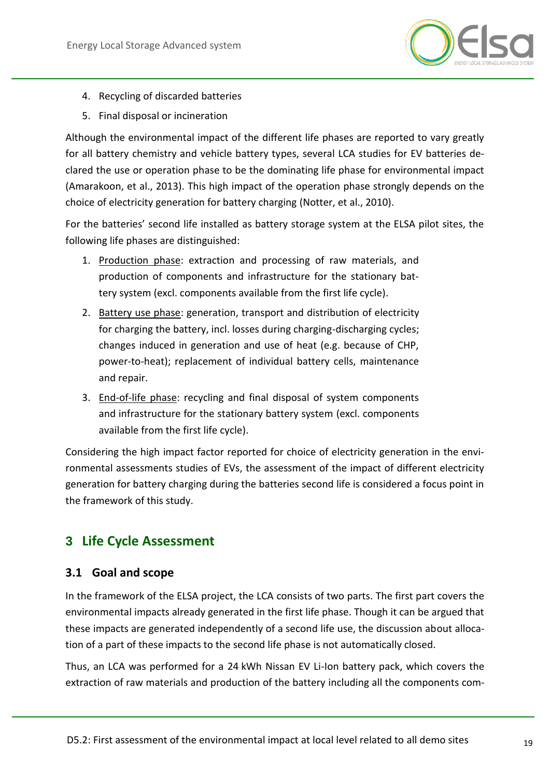

- 4. Recycling of discarded batteries
- 5. Final disposal or incineration

Although the environmental impact of the different life phases are reported to vary greatly for all battery chemistry and vehicle battery types, several LCA studies for EV batteries declared the use or operation phase to be the dominating life phase for environmental impact (Amarakoon, et al., 2013). This high impact of the operation phase strongly depends on the choice of electricity generation for battery charging (Notter, et al., 2010).

For the batteries' second life installed as battery storage system at the ELSA pilot sites, the following life phases are distinguished:

- 1. Production phase: extraction and processing of raw materials, and production of components and infrastructure for the stationary battery system (excl. components available from the first life cycle).
- 2. Battery use phase: generation, transport and distribution of electricity for charging the battery, incl. losses during charging-discharging cycles; changes induced in generation and use of heat (e.g. because of CHP, power-to-heat); replacement of individual battery cells, maintenance and repair.
- 3. End-of-life phase: recycling and final disposal of system components and infrastructure for the stationary battery system (excl. components available from the first life cycle).

Considering the high impact factor reported for choice of electricity generation in the environmental assessments studies of EVs, the assessment of the impact of different electricity generation for battery charging during the batteries second life is considered a focus point in the framework of this study.

## <span id="page-18-0"></span>**3 Life Cycle Assessment**

### <span id="page-18-1"></span>**3.1 Goal and scope**

In the framework of the ELSA project, the LCA consists of two parts. The first part covers the environmental impacts already generated in the first life phase. Though it can be argued that these impacts are generated independently of a second life use, the discussion about allocation of a part of these impacts to the second life phase is not automatically closed.

Thus, an LCA was performed for a 24 kWh Nissan EV Li-Ion battery pack, which covers the extraction of raw materials and production of the battery including all the components com-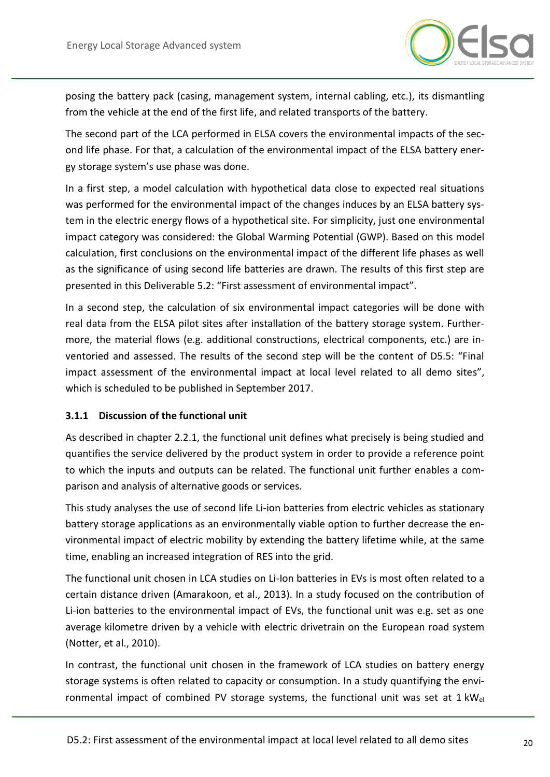

posing the battery pack (casing, management system, internal cabling, etc.), its dismantling from the vehicle at the end of the first life, and related transports of the battery.

The second part of the LCA performed in ELSA covers the environmental impacts of the second life phase. For that, a calculation of the environmental impact of the ELSA battery energy storage system's use phase was done.

In a first step, a model calculation with hypothetical data close to expected real situations was performed for the environmental impact of the changes induces by an ELSA battery system in the electric energy flows of a hypothetical site. For simplicity, just one environmental impact category was considered: the Global Warming Potential (GWP). Based on this model calculation, first conclusions on the environmental impact of the different life phases as well as the significance of using second life batteries are drawn. The results of this first step are presented in this Deliverable 5.2: "First assessment of environmental impact".

In a second step, the calculation of six environmental impact categories will be done with real data from the ELSA pilot sites after installation of the battery storage system. Furthermore, the material flows (e.g. additional constructions, electrical components, etc.) are inventoried and assessed. The results of the second step will be the content of D5.5: "Final impact assessment of the environmental impact at local level related to all demo sites", which is scheduled to be published in September 2017.

#### <span id="page-19-0"></span>**3.1.1 Discussion of the functional unit**

As described in chapter [2.2.1,](#page-15-1) the functional unit defines what precisely is being studied and quantifies the service delivered by the product system in order to provide a reference point to which the inputs and outputs can be related. The functional unit further enables a comparison and analysis of alternative goods or services.

This study analyses the use of second life Li-ion batteries from electric vehicles as stationary battery storage applications as an environmentally viable option to further decrease the environmental impact of electric mobility by extending the battery lifetime while, at the same time, enabling an increased integration of RES into the grid.

The functional unit chosen in LCA studies on Li-Ion batteries in EVs is most often related to a certain distance driven (Amarakoon, et al., 2013). In a study focused on the contribution of Li-ion batteries to the environmental impact of EVs, the functional unit was e.g. set as one average kilometre driven by a vehicle with electric drivetrain on the European road system (Notter, et al., 2010).

In contrast, the functional unit chosen in the framework of LCA studies on battery energy storage systems is often related to capacity or consumption. In a study quantifying the environmental impact of combined PV storage systems, the functional unit was set at  $1 \text{ kW}_{el}$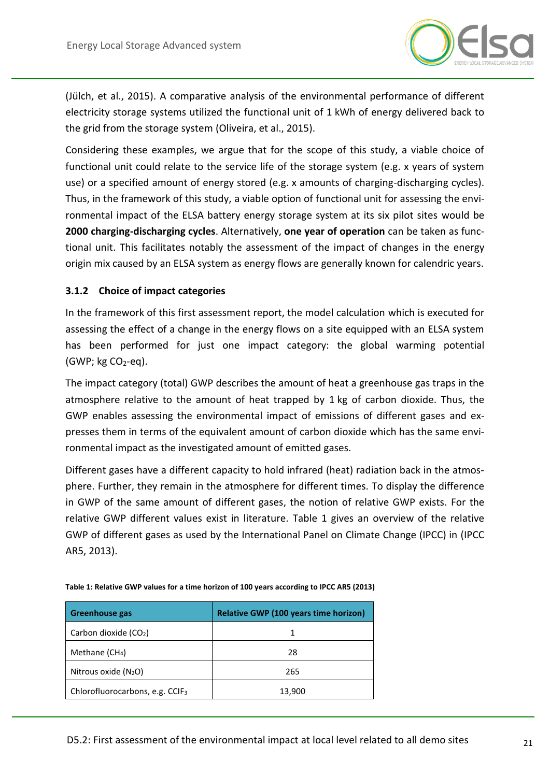

(Jülch, et al., 2015). A comparative analysis of the environmental performance of different electricity storage systems utilized the functional unit of 1 kWh of energy delivered back to the grid from the storage system (Oliveira, et al., 2015).

Considering these examples, we argue that for the scope of this study, a viable choice of functional unit could relate to the service life of the storage system (e.g. x years of system use) or a specified amount of energy stored (e.g. x amounts of charging-discharging cycles). Thus, in the framework of this study, a viable option of functional unit for assessing the environmental impact of the ELSA battery energy storage system at its six pilot sites would be **2000 charging-discharging cycles**. Alternatively, **one year of operation** can be taken as functional unit. This facilitates notably the assessment of the impact of changes in the energy origin mix caused by an ELSA system as energy flows are generally known for calendric years.

#### <span id="page-20-0"></span>**3.1.2 Choice of impact categories**

In the framework of this first assessment report, the model calculation which is executed for assessing the effect of a change in the energy flows on a site equipped with an ELSA system has been performed for just one impact category: the global warming potential  $(GWP; kg CO<sub>2</sub>-eq).$ 

The impact category (total) GWP describes the amount of heat a greenhouse gas traps in the atmosphere relative to the amount of heat trapped by 1 kg of carbon dioxide. Thus, the GWP enables assessing the environmental impact of emissions of different gases and expresses them in terms of the equivalent amount of carbon dioxide which has the same environmental impact as the investigated amount of emitted gases.

Different gases have a different capacity to hold infrared (heat) radiation back in the atmosphere. Further, they remain in the atmosphere for different times. To display the difference in GWP of the same amount of different gases, the notion of relative GWP exists. For the relative GWP different values exist in literature. [Table 1](#page-20-1) gives an overview of the relative GWP of different gases as used by the International Panel on Climate Change (IPCC) in (IPCC AR5, 2013).

| <b>Greenhouse gas</b>                       | <b>Relative GWP (100 years time horizon)</b> |  |  |  |
|---------------------------------------------|----------------------------------------------|--|--|--|
| Carbon dioxide (CO2)                        |                                              |  |  |  |
| Methane $(CH4)$                             | 28                                           |  |  |  |
| Nitrous oxide $(N_2O)$                      | 265                                          |  |  |  |
| Chlorofluorocarbons, e.g. CCIF <sub>3</sub> | 13,900                                       |  |  |  |

<span id="page-20-1"></span>**Table 1: Relative GWP values for a time horizon of 100 years according to IPCC AR5 (2013)**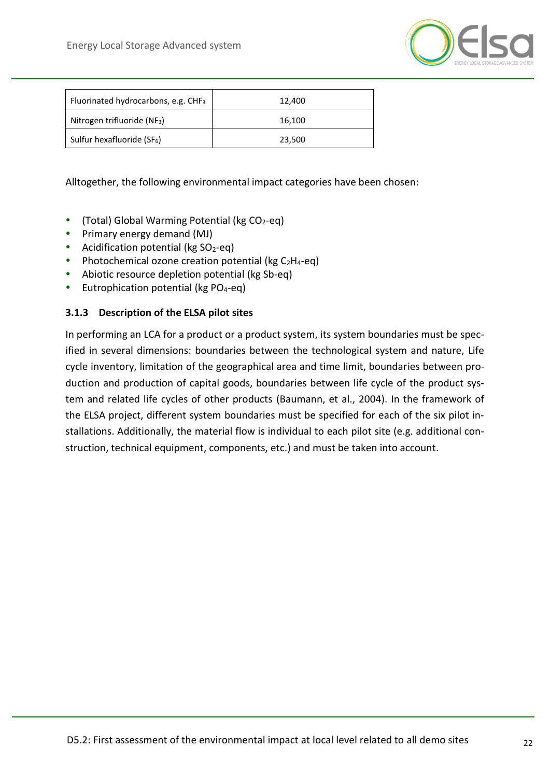

| Fluorinated hydrocarbons, e.g. $CHF3$   | 12.400 |
|-----------------------------------------|--------|
| Nitrogen trifluoride (NF <sub>3</sub> ) | 16,100 |
| Sulfur hexafluoride (SF <sub>6</sub> )  | 23,500 |

#### Alltogether, the following environmental impact categories have been chosen:

- (Total) Global Warming Potential (kg  $CO<sub>2</sub>$ -eq)
- Primary energy demand (MJ)
- Acidification potential ( $kg SO<sub>2</sub>-eq$ )
- Photochemical ozone creation potential ( $kg C<sub>2</sub>H<sub>4</sub>$ -eq)
- Abiotic resource depletion potential (kg Sb-eq)
- Eutrophication potential (kg  $PO<sub>4</sub>$ -eq)

#### <span id="page-21-0"></span>**3.1.3 Description of the ELSA pilot sites**

In performing an LCA for a product or a product system, its system boundaries must be specified in several dimensions: boundaries between the technological system and nature, Life cycle inventory, limitation of the geographical area and time limit, boundaries between production and production of capital goods, boundaries between life cycle of the product system and related life cycles of other products (Baumann, et al., 2004). In the framework of the ELSA project, different system boundaries must be specified for each of the six pilot installations. Additionally, the material flow is individual to each pilot site (e.g. additional construction, technical equipment, components, etc.) and must be taken into account.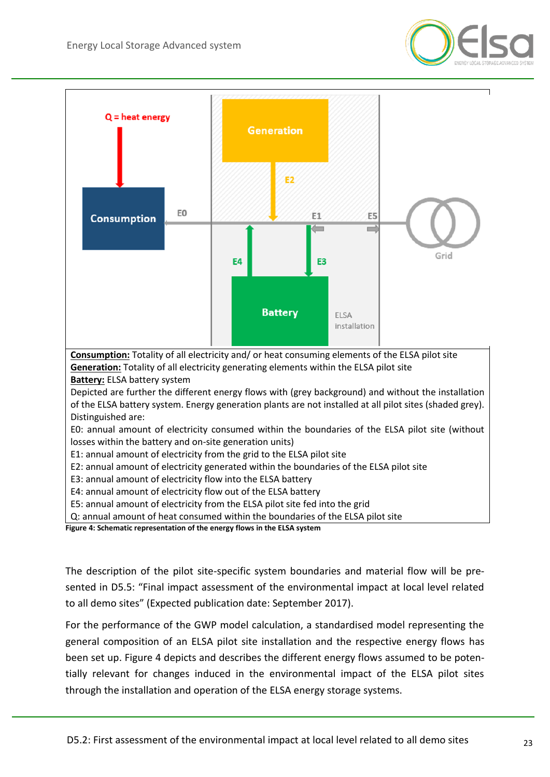



- E3: annual amount of electricity flow into the ELSA battery
- E4: annual amount of electricity flow out of the ELSA battery
- E5: annual amount of electricity from the ELSA pilot site fed into the grid

Q: annual amount of heat consumed within the boundaries of the ELSA pilot site

<span id="page-22-0"></span>**Figure 4: Schematic representation of the energy flows in the ELSA system**

The description of the pilot site-specific system boundaries and material flow will be presented in D5.5: "Final impact assessment of the environmental impact at local level related to all demo sites" (Expected publication date: September 2017).

For the performance of the GWP model calculation, a standardised model representing the general composition of an ELSA pilot site installation and the respective energy flows has been set up. [Figure 4](#page-22-0) depicts and describes the different energy flows assumed to be potentially relevant for changes induced in the environmental impact of the ELSA pilot sites through the installation and operation of the ELSA energy storage systems.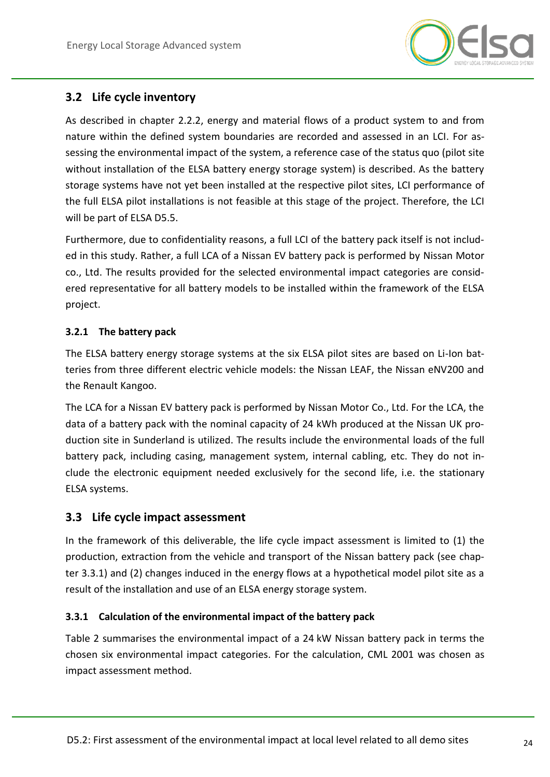

## <span id="page-23-0"></span>**3.2 Life cycle inventory**

As described in chapter [2.2.2,](#page-16-0) energy and material flows of a product system to and from nature within the defined system boundaries are recorded and assessed in an LCI. For assessing the environmental impact of the system, a reference case of the status quo (pilot site without installation of the ELSA battery energy storage system) is described. As the battery storage systems have not yet been installed at the respective pilot sites, LCI performance of the full ELSA pilot installations is not feasible at this stage of the project. Therefore, the LCI will be part of ELSA D5.5.

Furthermore, due to confidentiality reasons, a full LCI of the battery pack itself is not included in this study. Rather, a full LCA of a Nissan EV battery pack is performed by Nissan Motor co., Ltd. The results provided for the selected environmental impact categories are considered representative for all battery models to be installed within the framework of the ELSA project.

#### <span id="page-23-1"></span>**3.2.1 The battery pack**

The ELSA battery energy storage systems at the six ELSA pilot sites are based on Li-Ion batteries from three different electric vehicle models: the Nissan LEAF, the Nissan eNV200 and the Renault Kangoo.

The LCA for a Nissan EV battery pack is performed by Nissan Motor Co., Ltd. For the LCA, the data of a battery pack with the nominal capacity of 24 kWh produced at the Nissan UK production site in Sunderland is utilized. The results include the environmental loads of the full battery pack, including casing, management system, internal cabling, etc. They do not include the electronic equipment needed exclusively for the second life, i.e. the stationary ELSA systems.

### <span id="page-23-2"></span>**3.3 Life cycle impact assessment**

In the framework of this deliverable, the life cycle impact assessment is limited to (1) the production, extraction from the vehicle and transport of the Nissan battery pack (see chapter [3.3.1\)](#page-23-3) and (2) changes induced in the energy flows at a hypothetical model pilot site as a result of the installation and use of an ELSA energy storage system.

### <span id="page-23-3"></span>**3.3.1 Calculation of the environmental impact of the battery pack**

[Table 2](#page-24-1) summarises the environmental impact of a 24 kW Nissan battery pack in terms the chosen six environmental impact categories. For the calculation, CML 2001 was chosen as impact assessment method.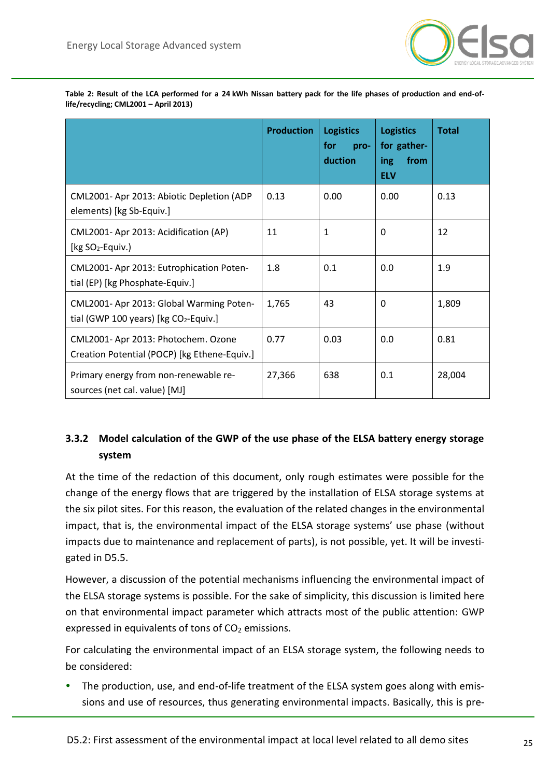

|                                                                                     | <b>Production</b> | <b>Logistics</b><br>for<br>pro-<br>duction | <b>Logistics</b><br>for gather-<br>from<br>ing<br><b>ELV</b> | <b>Total</b> |
|-------------------------------------------------------------------------------------|-------------------|--------------------------------------------|--------------------------------------------------------------|--------------|
| CML2001- Apr 2013: Abiotic Depletion (ADP<br>elements) [kg Sb-Equiv.]               | 0.13              | 0.00                                       | 0.00                                                         | 0.13         |
| CML2001- Apr 2013: Acidification (AP)<br>[ $kg SO2$ -Equiv.)                        | 11                | 1                                          | 0                                                            | 12           |
| CML2001- Apr 2013: Eutrophication Poten-<br>tial (EP) [kg Phosphate-Equiv.]         | 1.8               | 0.1                                        | 0.0                                                          | 1.9          |
| CML2001- Apr 2013: Global Warming Poten-<br>tial (GWP 100 years) [kg $CO2$ -Equiv.] | 1,765             | 43                                         | 0                                                            | 1,809        |
| CML2001- Apr 2013: Photochem. Ozone<br>Creation Potential (POCP) [kg Ethene-Equiv.] | 0.77              | 0.03                                       | 0.0                                                          | 0.81         |
| Primary energy from non-renewable re-<br>sources (net cal. value) [MJ]              | 27,366            | 638                                        | 0.1                                                          | 28,004       |

<span id="page-24-1"></span>**Table 2: Result of the LCA performed for a 24 kWh Nissan battery pack for the life phases of production and end-oflife/recycling; CML2001 – April 2013)**

## <span id="page-24-2"></span><span id="page-24-0"></span>**3.3.2 Model calculation of the GWP of the use phase of the ELSA battery energy storage system**

At the time of the redaction of this document, only rough estimates were possible for the change of the energy flows that are triggered by the installation of ELSA storage systems at the six pilot sites. For this reason, the evaluation of the related changes in the environmental impact, that is, the environmental impact of the ELSA storage systems' use phase (without impacts due to maintenance and replacement of parts), is not possible, yet. It will be investigated in D5.5.

However, a discussion of the potential mechanisms influencing the environmental impact of the ELSA storage systems is possible. For the sake of simplicity, this discussion is limited here on that environmental impact parameter which attracts most of the public attention: GWP expressed in equivalents of tons of  $CO<sub>2</sub>$  emissions.

For calculating the environmental impact of an ELSA storage system, the following needs to be considered:

 The production, use, and end-of-life treatment of the ELSA system goes along with emissions and use of resources, thus generating environmental impacts. Basically, this is pre-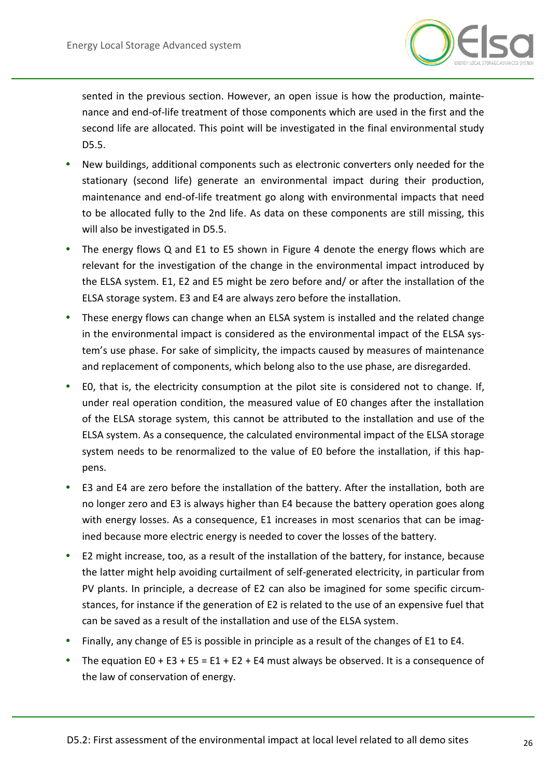

sented in the previous section. However, an open issue is how the production, maintenance and end-of-life treatment of those components which are used in the first and the second life are allocated. This point will be investigated in the final environmental study D5.5.

- New buildings, additional components such as electronic converters only needed for the stationary (second life) generate an environmental impact during their production, maintenance and end-of-life treatment go along with environmental impacts that need to be allocated fully to the 2nd life. As data on these components are still missing, this will also be investigated in D5.5.
- The energy flows Q and E1 to E5 shown in [Figure 4](#page-22-0) denote the energy flows which are relevant for the investigation of the change in the environmental impact introduced by the ELSA system. E1, E2 and E5 might be zero before and/ or after the installation of the ELSA storage system. E3 and E4 are always zero before the installation.
- These energy flows can change when an ELSA system is installed and the related change in the environmental impact is considered as the environmental impact of the ELSA system's use phase. For sake of simplicity, the impacts caused by measures of maintenance and replacement of components, which belong also to the use phase, are disregarded.
- E0, that is, the electricity consumption at the pilot site is considered not to change. If, under real operation condition, the measured value of E0 changes after the installation of the ELSA storage system, this cannot be attributed to the installation and use of the ELSA system. As a consequence, the calculated environmental impact of the ELSA storage system needs to be renormalized to the value of E0 before the installation, if this happens.
- E3 and E4 are zero before the installation of the battery. After the installation, both are no longer zero and E3 is always higher than E4 because the battery operation goes along with energy losses. As a consequence, E1 increases in most scenarios that can be imagined because more electric energy is needed to cover the losses of the battery.
- E2 might increase, too, as a result of the installation of the battery, for instance, because the latter might help avoiding curtailment of self-generated electricity, in particular from PV plants. In principle, a decrease of E2 can also be imagined for some specific circumstances, for instance if the generation of E2 is related to the use of an expensive fuel that can be saved as a result of the installation and use of the ELSA system.
- Finally, any change of E5 is possible in principle as a result of the changes of E1 to E4.
- The equation E0 + E3 + E5 = E1 + E2 + E4 must always be observed. It is a consequence of the law of conservation of energy.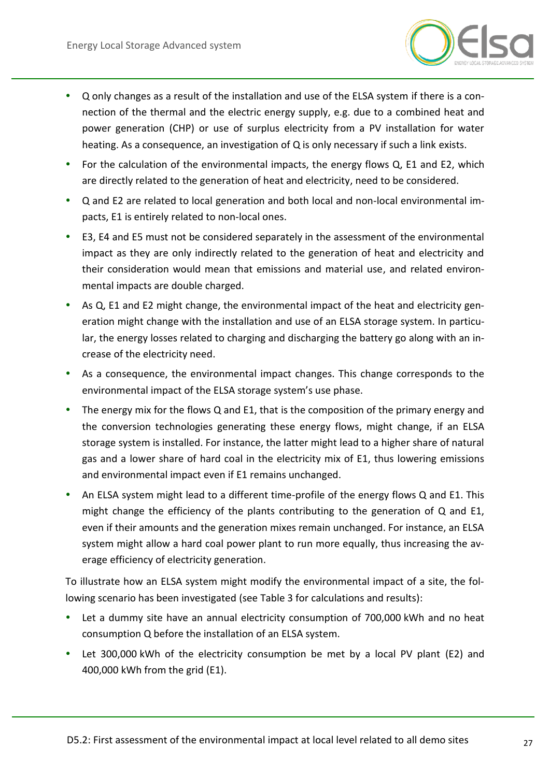

- Q only changes as a result of the installation and use of the ELSA system if there is a connection of the thermal and the electric energy supply, e.g. due to a combined heat and power generation (CHP) or use of surplus electricity from a PV installation for water heating. As a consequence, an investigation of Q is only necessary if such a link exists.
- For the calculation of the environmental impacts, the energy flows Q, E1 and E2, which are directly related to the generation of heat and electricity, need to be considered.
- Q and E2 are related to local generation and both local and non-local environmental impacts, E1 is entirely related to non-local ones.
- E3, E4 and E5 must not be considered separately in the assessment of the environmental impact as they are only indirectly related to the generation of heat and electricity and their consideration would mean that emissions and material use, and related environmental impacts are double charged.
- As Q, E1 and E2 might change, the environmental impact of the heat and electricity generation might change with the installation and use of an ELSA storage system. In particular, the energy losses related to charging and discharging the battery go along with an increase of the electricity need.
- As a consequence, the environmental impact changes. This change corresponds to the environmental impact of the ELSA storage system's use phase.
- The energy mix for the flows Q and E1, that is the composition of the primary energy and the conversion technologies generating these energy flows, might change, if an ELSA storage system is installed. For instance, the latter might lead to a higher share of natural gas and a lower share of hard coal in the electricity mix of E1, thus lowering emissions and environmental impact even if E1 remains unchanged.
- An ELSA system might lead to a different time-profile of the energy flows Q and E1. This might change the efficiency of the plants contributing to the generation of  $Q$  and E1, even if their amounts and the generation mixes remain unchanged. For instance, an ELSA system might allow a hard coal power plant to run more equally, thus increasing the average efficiency of electricity generation.

To illustrate how an ELSA system might modify the environmental impact of a site, the following scenario has been investigated (see Table 3 for calculations and results):

- Let a dummy site have an annual electricity consumption of 700,000 kWh and no heat consumption Q before the installation of an ELSA system.
- Let 300,000 kWh of the electricity consumption be met by a local PV plant (E2) and 400,000 kWh from the grid (E1).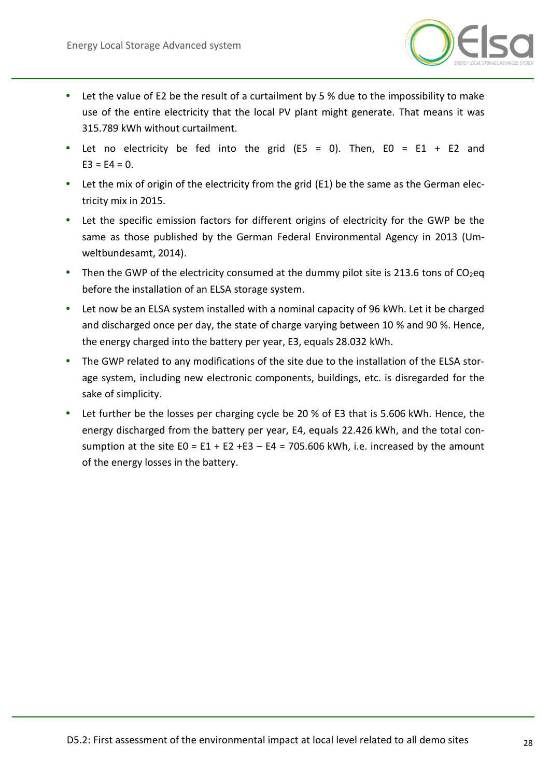

- Let the value of E2 be the result of a curtailment by 5 % due to the impossibility to make use of the entire electricity that the local PV plant might generate. That means it was 315.789 kWh without curtailment.
- Let no electricity be fed into the grid (E5 = 0). Then, E0 = E1 + E2 and  $E3 = E4 = 0.$
- Let the mix of origin of the electricity from the grid (E1) be the same as the German electricity mix in 2015.
- Let the specific emission factors for different origins of electricity for the GWP be the same as those published by the German Federal Environmental Agency in 2013 (Umweltbundesamt, 2014).
- Then the GWP of the electricity consumed at the dummy pilot site is 213.6 tons of  $CO<sub>2</sub>$ eq before the installation of an ELSA storage system.
- Let now be an ELSA system installed with a nominal capacity of 96 kWh. Let it be charged and discharged once per day, the state of charge varying between 10 % and 90 %. Hence, the energy charged into the battery per year, E3, equals 28.032 kWh.
- The GWP related to any modifications of the site due to the installation of the ELSA storage system, including new electronic components, buildings, etc. is disregarded for the sake of simplicity.
- Let further be the losses per charging cycle be 20 % of E3 that is 5.606 kWh. Hence, the energy discharged from the battery per year, E4, equals 22.426 kWh, and the total consumption at the site  $E0 = E1 + E2 + E3 - E4 = 705.606$  kWh, i.e. increased by the amount of the energy losses in the battery.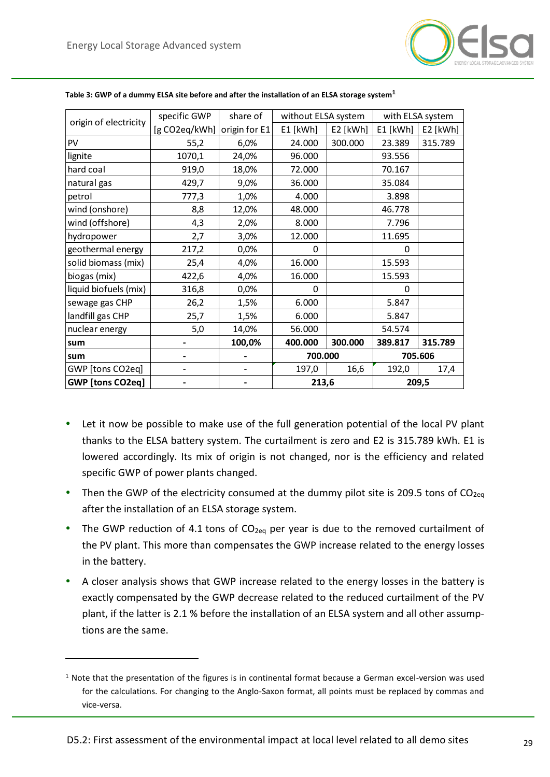$\overline{a}$ 



| origin of electricity   | specific GWP  | share of      | without ELSA system |          | with ELSA system |          |
|-------------------------|---------------|---------------|---------------------|----------|------------------|----------|
|                         | [g CO2eq/kWh] | origin for E1 | E1 [kWh]            | E2 [kWh] | E1 [kWh]         | E2 [kWh] |
| PV                      | 55,2          | 6,0%          | 24.000              | 300.000  | 23.389           | 315.789  |
| lignite                 | 1070,1        | 24,0%         | 96.000              |          | 93.556           |          |
| hard coal               | 919,0         | 18,0%         | 72.000              |          | 70.167           |          |
| natural gas             | 429,7         | 9,0%          | 36.000              |          | 35.084           |          |
| petrol                  | 777,3         | 1,0%          | 4.000               |          | 3.898            |          |
| wind (onshore)          | 8,8           | 12,0%         | 48.000              |          | 46.778           |          |
| wind (offshore)         | 4,3           | 2,0%          | 8.000               |          | 7.796            |          |
| hydropower              | 2,7           | 3,0%          | 12.000              |          | 11.695           |          |
| geothermal energy       | 217,2         | 0,0%          | 0                   |          | 0                |          |
| solid biomass (mix)     | 25,4          | 4,0%          | 16.000              |          | 15.593           |          |
| biogas (mix)            | 422,6         | 4,0%          | 16.000              |          | 15.593           |          |
| liquid biofuels (mix)   | 316,8         | 0,0%          | 0                   |          | 0                |          |
| sewage gas CHP          | 26,2          | 1,5%          | 6.000               |          | 5.847            |          |
| landfill gas CHP        | 25,7          | 1,5%          | 6.000               |          | 5.847            |          |
| nuclear energy          | 5,0           | 14,0%         | 56.000              |          | 54.574           |          |
| sum                     |               | 100,0%        | 400.000             | 300.000  | 389.817          | 315.789  |
| sum                     |               |               | 700.000             |          | 705.606          |          |
| GWP [tons CO2eq]        |               |               | 197,0               | 16,6     | 192,0            | 17,4     |
| <b>GWP</b> [tons CO2eq] |               |               | 213,6               |          | 209,5            |          |

#### <span id="page-28-0"></span>**Table 3: GWP of a dummy ELSA site before and after the installation of an ELSA storage system<sup>1</sup>**

- Let it now be possible to make use of the full generation potential of the local PV plant thanks to the ELSA battery system. The curtailment is zero and E2 is 315.789 kWh. E1 is lowered accordingly. Its mix of origin is not changed, nor is the efficiency and related specific GWP of power plants changed.
- Then the GWP of the electricity consumed at the dummy pilot site is 209.5 tons of  $CO<sub>2ea</sub>$ after the installation of an ELSA storage system.
- The GWP reduction of 4.1 tons of  $CO<sub>2eq</sub>$  per year is due to the removed curtailment of the PV plant. This more than compensates the GWP increase related to the energy losses in the battery.
- A closer analysis shows that GWP increase related to the energy losses in the battery is exactly compensated by the GWP decrease related to the reduced curtailment of the PV plant, if the latter is 2.1 % before the installation of an ELSA system and all other assumptions are the same.

<sup>1</sup> Note that the presentation of the figures is in continental format because a German excel-version was used for the calculations. For changing to the Anglo-Saxon format, all points must be replaced by commas and vice-versa.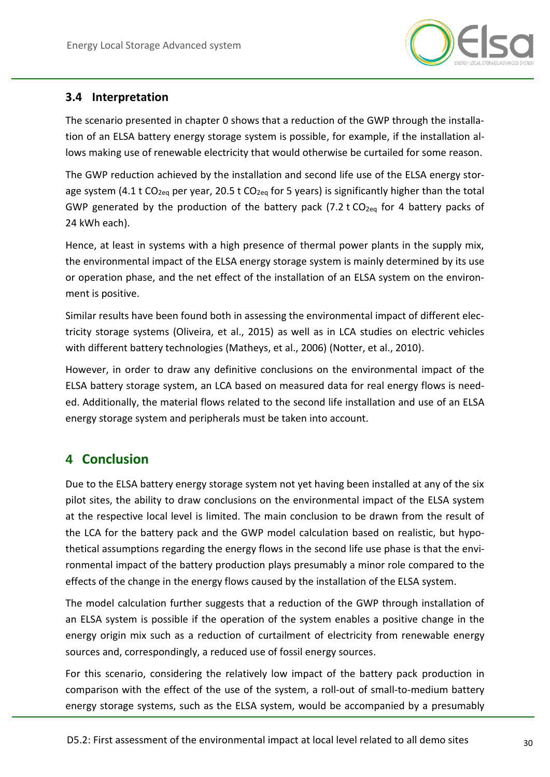

## <span id="page-29-0"></span>**3.4 Interpretation**

The scenario presented in chapter [0](#page-24-2) shows that a reduction of the GWP through the installation of an ELSA battery energy storage system is possible, for example, if the installation allows making use of renewable electricity that would otherwise be curtailed for some reason.

The GWP reduction achieved by the installation and second life use of the ELSA energy storage system (4.1 t CO<sub>2eq</sub> per year, 20.5 t CO<sub>2eq</sub> for 5 years) is significantly higher than the total GWP generated by the production of the battery pack (7.2 t  $CO<sub>2eq</sub>$  for 4 battery packs of 24 kWh each).

Hence, at least in systems with a high presence of thermal power plants in the supply mix, the environmental impact of the ELSA energy storage system is mainly determined by its use or operation phase, and the net effect of the installation of an ELSA system on the environment is positive.

Similar results have been found both in assessing the environmental impact of different electricity storage systems (Oliveira, et al., 2015) as well as in LCA studies on electric vehicles with different battery technologies (Matheys, et al., 2006) (Notter, et al., 2010).

However, in order to draw any definitive conclusions on the environmental impact of the ELSA battery storage system, an LCA based on measured data for real energy flows is needed. Additionally, the material flows related to the second life installation and use of an ELSA energy storage system and peripherals must be taken into account.

## <span id="page-29-1"></span>**4 Conclusion**

Due to the ELSA battery energy storage system not yet having been installed at any of the six pilot sites, the ability to draw conclusions on the environmental impact of the ELSA system at the respective local level is limited. The main conclusion to be drawn from the result of the LCA for the battery pack and the GWP model calculation based on realistic, but hypothetical assumptions regarding the energy flows in the second life use phase is that the environmental impact of the battery production plays presumably a minor role compared to the effects of the change in the energy flows caused by the installation of the ELSA system.

The model calculation further suggests that a reduction of the GWP through installation of an ELSA system is possible if the operation of the system enables a positive change in the energy origin mix such as a reduction of curtailment of electricity from renewable energy sources and, correspondingly, a reduced use of fossil energy sources.

For this scenario, considering the relatively low impact of the battery pack production in comparison with the effect of the use of the system, a roll-out of small-to-medium battery energy storage systems, such as the ELSA system, would be accompanied by a presumably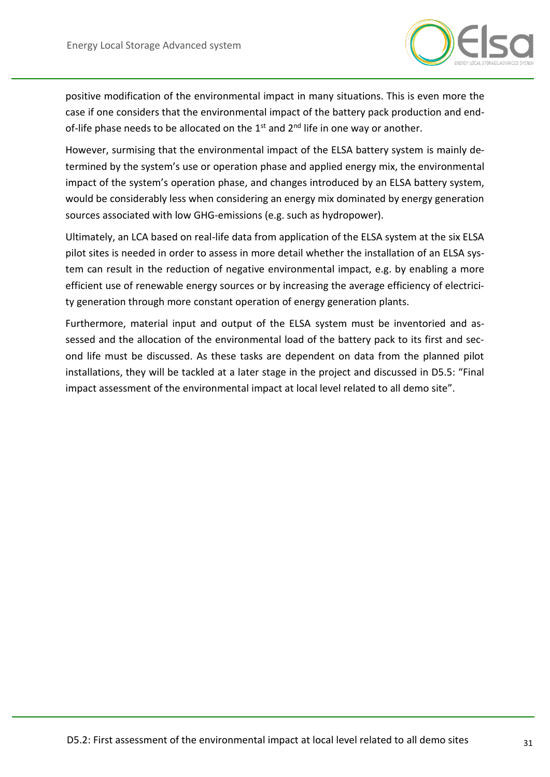

positive modification of the environmental impact in many situations. This is even more the case if one considers that the environmental impact of the battery pack production and endof-life phase needs to be allocated on the  $1<sup>st</sup>$  and  $2<sup>nd</sup>$  life in one way or another.

However, surmising that the environmental impact of the ELSA battery system is mainly determined by the system's use or operation phase and applied energy mix, the environmental impact of the system's operation phase, and changes introduced by an ELSA battery system, would be considerably less when considering an energy mix dominated by energy generation sources associated with low GHG-emissions (e.g. such as hydropower).

Ultimately, an LCA based on real-life data from application of the ELSA system at the six ELSA pilot sites is needed in order to assess in more detail whether the installation of an ELSA system can result in the reduction of negative environmental impact, e.g. by enabling a more efficient use of renewable energy sources or by increasing the average efficiency of electricity generation through more constant operation of energy generation plants.

Furthermore, material input and output of the ELSA system must be inventoried and assessed and the allocation of the environmental load of the battery pack to its first and second life must be discussed. As these tasks are dependent on data from the planned pilot installations, they will be tackled at a later stage in the project and discussed in D5.5: "Final impact assessment of the environmental impact at local level related to all demo site".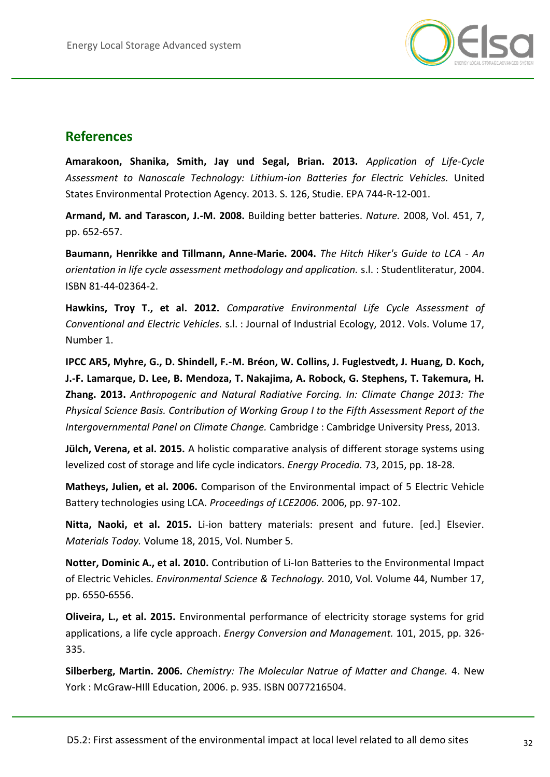

## <span id="page-31-0"></span>**References**

**Amarakoon, Shanika, Smith, Jay und Segal, Brian. 2013.** *Application of Life-Cycle Assessment to Nanoscale Technology: Lithium-ion Batteries for Electric Vehicles.* United States Environmental Protection Agency. 2013. S. 126, Studie. EPA 744-R-12-001.

**Armand, M. and Tarascon, J.-M. 2008.** Building better batteries. *Nature.* 2008, Vol. 451, 7, pp. 652-657.

**Baumann, Henrikke and Tillmann, Anne-Marie. 2004.** *The Hitch Hiker's Guide to LCA - An orientation in life cycle assessment methodology and application.* s.l. : Studentliteratur, 2004. ISBN 81-44-02364-2.

**Hawkins, Troy T., et al. 2012.** *Comparative Environmental Life Cycle Assessment of Conventional and Electric Vehicles.* s.l. : Journal of Industrial Ecology, 2012. Vols. Volume 17, Number 1.

**IPCC AR5, Myhre, G., D. Shindell, F.-M. Bréon, W. Collins, J. Fuglestvedt, J. Huang, D. Koch, J.-F. Lamarque, D. Lee, B. Mendoza, T. Nakajima, A. Robock, G. Stephens, T. Takemura, H. Zhang. 2013.** *Anthropogenic and Natural Radiative Forcing. In: Climate Change 2013: The Physical Science Basis. Contribution of Working Group I to the Fifth Assessment Report of the Intergovernmental Panel on Climate Change.* Cambridge : Cambridge University Press, 2013.

**Jülch, Verena, et al. 2015.** A holistic comparative analysis of different storage systems using levelized cost of storage and life cycle indicators. *Energy Procedia.* 73, 2015, pp. 18-28.

**Matheys, Julien, et al. 2006.** Comparison of the Environmental impact of 5 Electric Vehicle Battery technologies using LCA. *Proceedings of LCE2006.* 2006, pp. 97-102.

**Nitta, Naoki, et al. 2015.** Li-ion battery materials: present and future. [ed.] Elsevier. *Materials Today.* Volume 18, 2015, Vol. Number 5.

**Notter, Dominic A., et al. 2010.** Contribution of Li-Ion Batteries to the Environmental Impact of Electric Vehicles. *Environmental Science & Technology.* 2010, Vol. Volume 44, Number 17, pp. 6550-6556.

**Oliveira, L., et al. 2015.** Environmental performance of electricity storage systems for grid applications, a life cycle approach. *Energy Conversion and Management.* 101, 2015, pp. 326- 335.

**Silberberg, Martin. 2006.** *Chemistry: The Molecular Natrue of Matter and Change.* 4. New York : McGraw-HIll Education, 2006. p. 935. ISBN 0077216504.